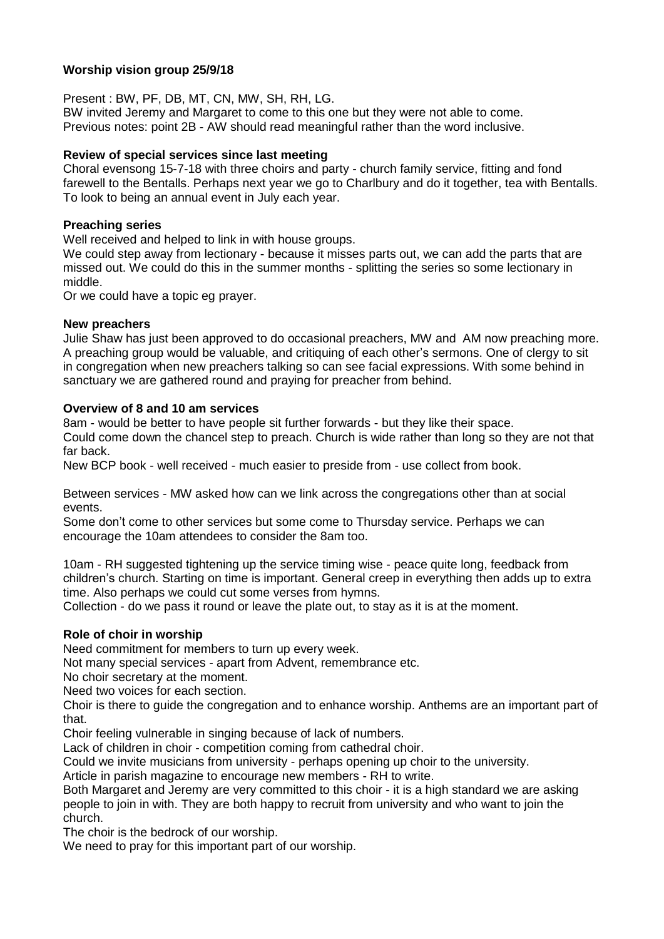# **Worship vision group 25/9/18**

Present : BW, PF, DB, MT, CN, MW, SH, RH, LG.

BW invited Jeremy and Margaret to come to this one but they were not able to come. Previous notes: point 2B - AW should read meaningful rather than the word inclusive.

### **Review of special services since last meeting**

Choral evensong 15-7-18 with three choirs and party - church family service, fitting and fond farewell to the Bentalls. Perhaps next year we go to Charlbury and do it together, tea with Bentalls. To look to being an annual event in July each year.

### **Preaching series**

Well received and helped to link in with house groups.

We could step away from lectionary - because it misses parts out, we can add the parts that are missed out. We could do this in the summer months - splitting the series so some lectionary in middle.

Or we could have a topic eg prayer.

### **New preachers**

Julie Shaw has just been approved to do occasional preachers, MW and AM now preaching more. A preaching group would be valuable, and critiquing of each other's sermons. One of clergy to sit in congregation when new preachers talking so can see facial expressions. With some behind in sanctuary we are gathered round and praying for preacher from behind.

# **Overview of 8 and 10 am services**

8am - would be better to have people sit further forwards - but they like their space.

Could come down the chancel step to preach. Church is wide rather than long so they are not that far back.

New BCP book - well received - much easier to preside from - use collect from book.

Between services - MW asked how can we link across the congregations other than at social events.

Some don't come to other services but some come to Thursday service. Perhaps we can encourage the 10am attendees to consider the 8am too.

10am - RH suggested tightening up the service timing wise - peace quite long, feedback from children's church. Starting on time is important. General creep in everything then adds up to extra time. Also perhaps we could cut some verses from hymns.

Collection - do we pass it round or leave the plate out, to stay as it is at the moment.

# **Role of choir in worship**

Need commitment for members to turn up every week.

Not many special services - apart from Advent, remembrance etc.

No choir secretary at the moment.

Need two voices for each section.

Choir is there to guide the congregation and to enhance worship. Anthems are an important part of that.

Choir feeling vulnerable in singing because of lack of numbers.

Lack of children in choir - competition coming from cathedral choir.

Could we invite musicians from university - perhaps opening up choir to the university.

Article in parish magazine to encourage new members - RH to write.

Both Margaret and Jeremy are very committed to this choir - it is a high standard we are asking people to join in with. They are both happy to recruit from university and who want to join the church.

The choir is the bedrock of our worship.

We need to pray for this important part of our worship.